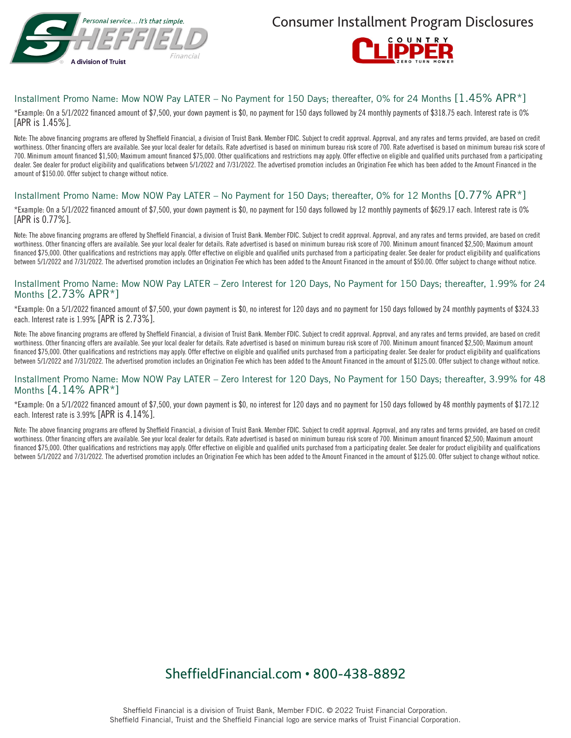

Consumer Installment Program Disclosures



### Installment Promo Name: Mow NOW Pay LATER – No Payment for 150 Days; thereafter, 0% for 24 Months [1.45% APR\*]

\*Example: On a 5/1/2022 financed amount of \$7,500, your down payment is \$0, no payment for 150 days followed by 24 monthly payments of \$318.75 each. Interest rate is 0% [APR is 1.45%].

Note: The above financing programs are offered by Sheffield Financial, a division of Truist Bank. Member FDIC. Subject to credit approval. Approval, and any rates and terms provided, are based on credit worthiness. Other financing offers are available. See your local dealer for details. Rate advertised is based on minimum bureau risk score of 700. Rate advertised is based on minimum bureau risk score of 700. Minimum amount financed \$1,500; Maximum amount financed \$75,000. Other qualifications and restrictions may apply. Offer effective on eligible and qualified units purchased from a participating dealer. See dealer for product eligibility and qualifications between 5/1/2022 and 7/31/2022. The advertised promotion includes an Origination Fee which has been added to the Amount Financed in the amount of \$150.00. Offer subject to change without notice.

#### Installment Promo Name: Mow NOW Pay LATER – No Payment for 150 Days; thereafter, 0% for 12 Months [0.77% APR\*]

\*Example: On a 5/1/2022 financed amount of \$7,500, your down payment is \$0, no payment for 150 days followed by 12 monthly payments of \$629.17 each. Interest rate is 0% [APR is 0.77%].

Note: The above financing programs are offered by Sheffield Financial, a division of Truist Bank. Member FDIC. Subject to credit approval. Approval, and any rates and terms provided, are based on credit worthiness. Other financing offers are available. See your local dealer for details. Rate advertised is based on minimum bureau risk score of 700. Minimum amount financed \$2,500; Maximum amount financed \$75,000. Other qualifications and restrictions may apply. Offer effective on eligible and qualified units purchased from a participating dealer. See dealer for product eligibility and qualifications between 5/1/2022 and 7/31/2022. The advertised promotion includes an Origination Fee which has been added to the Amount Financed in the amount of \$50.00. Offer subject to change without notice.

#### Installment Promo Name: Mow NOW Pay LATER – Zero Interest for 120 Days, No Payment for 150 Days; thereafter, 1.99% for 24 Months [2.73% APR\*]

\*Example: On a 5/1/2022 financed amount of \$7,500, your down payment is \$0, no interest for 120 days and no payment for 150 days followed by 24 monthly payments of \$324.33 each. Interest rate is 1.99% [APR is 2.73%].

Note: The above financing programs are offered by Sheffield Financial, a division of Truist Bank. Member FDIC. Subject to credit approval. Approval, and any rates and terms provided, are based on credit worthiness. Other financing offers are available. See your local dealer for details. Rate advertised is based on minimum bureau risk score of 700. Minimum amount financed \$2,500; Maximum amount financed \$75,000. Other qualifications and restrictions may apply. Offer effective on eligible and qualified units purchased from a participating dealer. See dealer for product eligibility and qualifications between 5/1/2022 and 7/31/2022. The advertised promotion includes an Origination Fee which has been added to the Amount Financed in the amount of \$125.00. Offer subject to change without notice.

#### Installment Promo Name: Mow NOW Pay LATER – Zero Interest for 120 Days, No Payment for 150 Days; thereafter, 3.99% for 48 Months [4.14% APR\*]

\*Example: On a 5/1/2022 financed amount of \$7,500, your down payment is \$0, no interest for 120 days and no payment for 150 days followed by 48 monthly payments of \$172.12 each. Interest rate is 3.99% [APR is 4.14%].

Note: The above financing programs are offered by Sheffield Financial, a division of Truist Bank. Member FDIC. Subject to credit approval. Approval, and any rates and terms provided, are based on credit worthiness. Other financing offers are available. See your local dealer for details. Rate advertised is based on minimum bureau risk score of 700. Minimum amount financed \$2,500; Maximum amount financed \$75,000. Other qualifications and restrictions may apply. Offer effective on eligible and qualified units purchased from a participating dealer. See dealer for product eligibility and qualifications between 5/1/2022 and 7/31/2022. The advertised promotion includes an Origination Fee which has been added to the Amount Financed in the amount of \$125.00. Offer subject to change without notice.

# SheffieldFinancial.com • 800-438-8892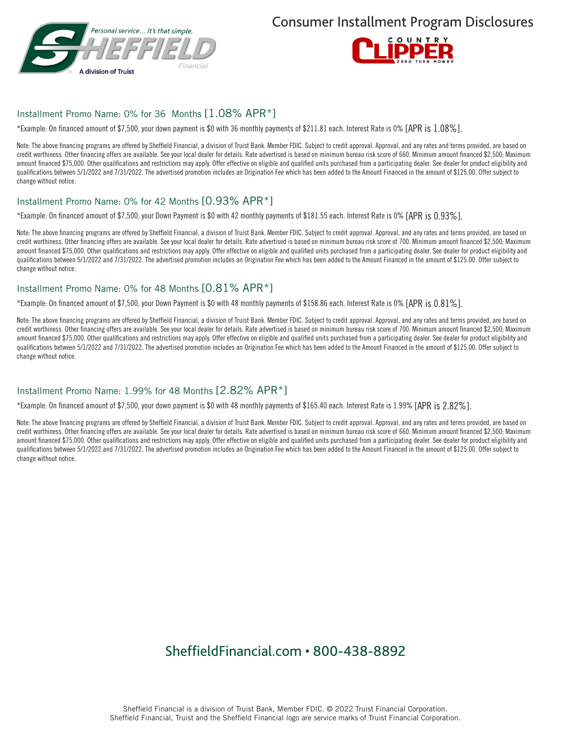

Consumer Installment Program Disclosures



#### Installment Promo Name: 0% for 36 Months [1.08% APR\*]

\*Example: On financed amount of \$7,500, your down payment is \$0 with 36 monthly payments of \$211.81 each. Interest Rate is 0% [APR is 1.08%].

Note: The above financing programs are offered by Sheffield Financial, a division of Truist Bank. Member FDIC. Subject to credit approval. Approval, and any rates and terms provided, are based on credit worthiness. Other financing offers are available. See your local dealer for details. Rate advertised is based on minimum bureau risk score of 660. Minimum amount financed \$2,500; Maximum amount financed \$75,000. Other qualifications and restrictions may apply. Offer effective on eligible and qualified units purchased from a participating dealer. See dealer for product eligibility and qualifications between 5/1/2022 and 7/31/2022. The advertised promotion includes an Origination Fee which has been added to the Amount Financed in the amount of \$125.00. Offer subject to change without notice.

#### Installment Promo Name: 0% for 42 Months [0.93% APR\*]

\*Example: On financed amount of \$7,500, your Down Payment is \$0 with 42 monthly payments of \$181.55 each. Interest Rate is 0% [APR is 0.93%].

Note: The above financing programs are offered by Sheffield Financial, a division of Truist Bank. Member FDIC. Subject to credit approval. Approval, and any rates and terms provided, are based on credit worthiness. Other financing offers are available. See your local dealer for details. Rate advertised is based on minimum bureau risk score of 700. Minimum amount financed \$2,500; Maximum amount financed \$75,000. Other qualifications and restrictions may apply. Offer effective on eligible and qualified units purchased from a participating dealer. See dealer for product eligibility and qualifications between 5/1/2022 and 7/31/2022. The advertised promotion includes an Origination Fee which has been added to the Amount Financed in the amount of \$125.00. Offer subject to change without notice.

### Installment Promo Name: 0% for 48 Months [0.81% APR\*]

\*Example: On financed amount of \$7,500, your Down Payment is \$0 with 48 monthly payments of \$158.86 each. Interest Rate is 0% [APR is 0.81%].

Note: The above financing programs are offered by Sheffield Financial, a division of Truist Bank. Member FDIC. Subject to credit approval. Approval, and any rates and terms provided, are based on credit worthiness. Other financing offers are available. See your local dealer for details. Rate advertised is based on minimum bureau risk score of 700. Minimum amount financed \$2,500; Maximum amount financed \$75,000. Other qualifications and restrictions may apply. Offer effective on eligible and qualified units purchased from a participating dealer. See dealer for product eligibility and qualifications between 5/1/2022 and 7/31/2022. The advertised promotion includes an Origination Fee which has been added to the Amount Financed in the amount of \$125.00. Offer subject to change without notice.

#### Installment Promo Name: 1.99% for 48 Months [2.82% APR\*]

\*Example: On financed amount of \$7,500, your down payment is \$0 with 48 monthly payments of \$165.40 each. Interest Rate is 1.99% [APR is 2.82%].

Note: The above financing programs are offered by Sheffield Financial, a division of Truist Bank. Member FDIC. Subject to credit approval. Approval, and any rates and terms provided, are based on credit worthiness. Other financing offers are available. See your local dealer for details. Rate advertised is based on minimum bureau risk score of 660. Minimum amount financed \$2,500; Maximum amount financed \$75,000. Other qualifications and restrictions may apply. Offer effective on eligible and qualified units purchased from a participating dealer. See dealer for product eligibility and qualifications between 5/1/2022 and 7/31/2022. The advertised promotion includes an Origination Fee which has been added to the Amount Financed in the amount of \$125.00. Offer subject to change without notice.

## SheffieldFinancial.com • 800-438-8892